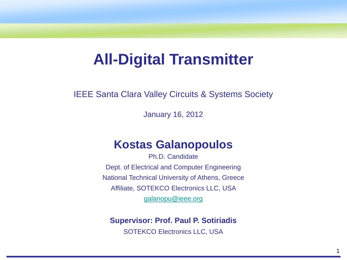# **All-Digital Transmitter**

IEEE Santa Clara Valley Circuits & Systems Society

January 16, 2012

### **Kostas Galanopoulos**

Ph.D. Candidate Dept. of Electrical and Computer Engineering National Technical University of Athens, Greece Affiliate, SOTEKCO Electronics LLC, USA [galanopu@ieee.org](mailto:galanopu@ieee.org)

**Supervisor: Prof. Paul P. Sotiriadis**

SOTEKCO Electronics LLC, USA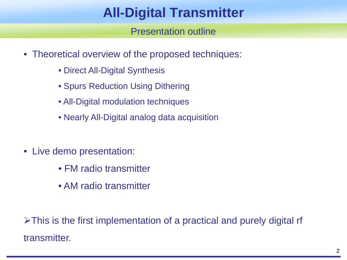## **All-Digital Transmitter**

Presentation outline

- Theoretical overview of the proposed techniques:
	- Direct All-Digital Synthesis
	- Spurs Reduction Using Dithering
	- All-Digital modulation techniques
	- Nearly All-Digital analog data acquisition
- Live demo presentation:
	- FM radio transmitter
	- AM radio transmitter

 $\triangleright$ This is the first implementation of a practical and purely digital rf transmitter.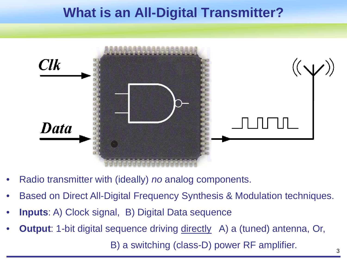### **What is an All-Digital Transmitter?**



- Radio transmitter with (ideally) *no* analog components.
- Based on Direct All-Digital Frequency Synthesis & Modulation techniques.
- **Inputs**: A) Clock signal, B) Digital Data sequence
- **Output**: 1-bit digital sequence driving directly A) a (tuned) antenna, Or,

B) a switching (class-D) power RF amplifier.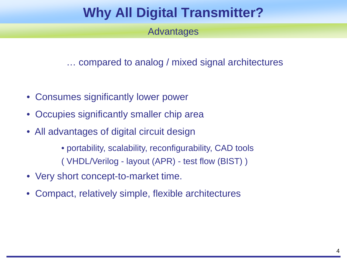## **Why All Digital Transmitter?**

Advantages

… compared to analog / mixed signal architectures

- Consumes significantly lower power
- Occupies significantly smaller chip area
- All advantages of digital circuit design

• portability, scalability, reconfigurability, CAD tools ( VHDL/Verilog - layout (APR) - test flow (BIST) )

- Very short concept-to-market time.
- Compact, relatively simple, flexible architectures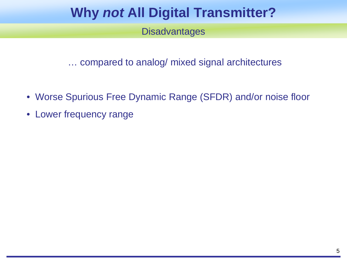## **Why** *not* **All Digital Transmitter?**

#### **Disadvantages**

… compared to analog/ mixed signal architectures

- Worse Spurious Free Dynamic Range (SFDR) and/or noise floor
- Lower frequency range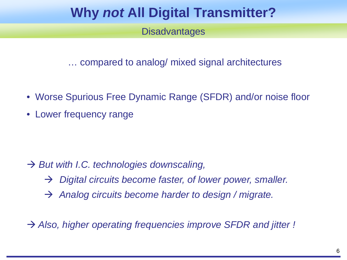## **Why** *not* **All Digital Transmitter?**

#### **Disadvantages**

… compared to analog/ mixed signal architectures

- Worse Spurious Free Dynamic Range (SFDR) and/or noise floor
- Lower frequency range

- → *But with I.C. technologies downscaling,* 
	- *Digital circuits become faster, of lower power, smaller.*
	- *Analog circuits become harder to design / migrate.*
- *Also, higher operating frequencies improve SFDR and jitter !*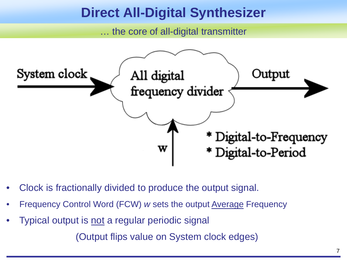### **Direct All-Digital Synthesizer**

… the core of all-digital transmitter



- Clock is fractionally divided to produce the output signal.
- Frequency Control Word (FCW) *w* sets the output Average Frequency
- Typical output is not a regular periodic signal

(Output flips value on System clock edges)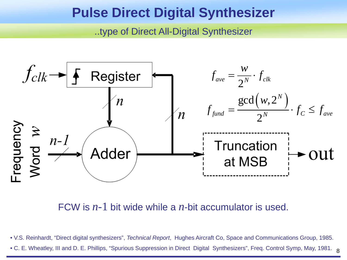### **Pulse Direct Digital Synthesizer**

..type of Direct All-Digital Synthesizer



FCW is *n*-1 bit wide while a *n*-bit accumulator is used.

• V.S. Reinhardt, "Direct digital synthesizers", *Technical Report*, Hughes Aircraft Co, Space and Communications Group, 1985.

 $\bullet$  C. E. Wheatley, III and D. E. Phillips, "Spurious Suppression in Direct Digital Synthesizers", Freq. Control Symp, May, 1981.  $\,$   $_{\rm 8}$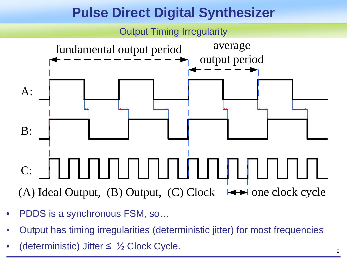# **Pulse Direct Digital Synthesizer**



- PDDS is a synchronous FSM, so…
- Output has timing irregularities (deterministic jitter) for most frequencies
- (deterministic) Jitter  $\leq \frac{1}{2}$  Clock Cycle.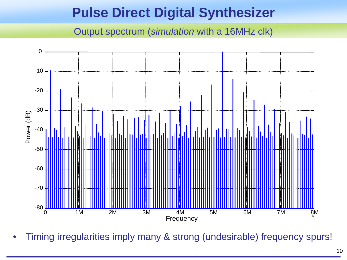## **Pulse Direct Digital Synthesizer**

Output spectrum (*simulation* with a 16MHz clk)



• Timing irregularities imply many & strong (undesirable) frequency spurs!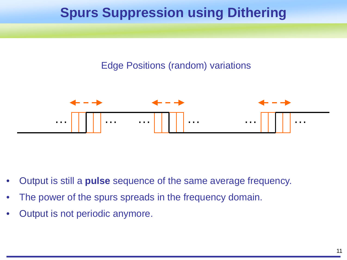# **Spurs Suppression using Dithering**

#### Edge Positions (random) variations



- Output is still a **pulse** sequence of the same average frequency.
- The power of the spurs spreads in the frequency domain.
- Output is not periodic anymore.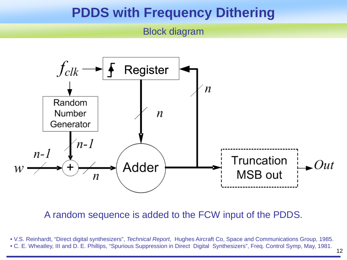### **PDDS with Frequency Dithering**

#### Block diagram



A random sequence is added to the FCW input of the PDDS.

• V.S. Reinhardt, "Direct digital synthesizers", *Technical Report*, Hughes Aircraft Co, Space and Communications Group, 1985. • C. E. Wheatley, III and D. E. Phillips, "Spurious Suppression in Direct Digital Synthesizers", Freq. Control Symp, May, 1981.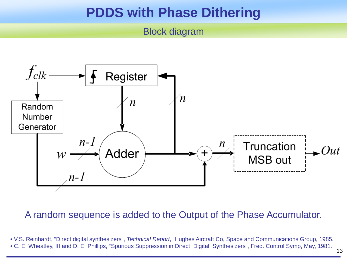### **PDDS with Phase Dithering**

#### Block diagram



#### A random sequence is added to the Output of the Phase Accumulator.

• V.S. Reinhardt, "Direct digital synthesizers", *Technical Report*, Hughes Aircraft Co, Space and Communications Group, 1985. • C. E. Wheatley, III and D. E. Phillips, "Spurious Suppression in Direct Digital Synthesizers", Freq. Control Symp, May, 1981.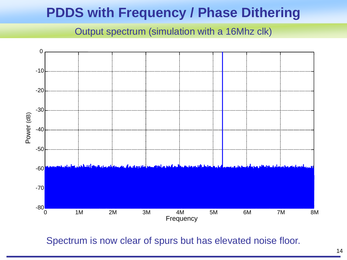## **PDDS with Frequency / Phase Dithering**

Output spectrum (simulation with a 16Mhz clk)



Spectrum is now clear of spurs but has elevated noise floor.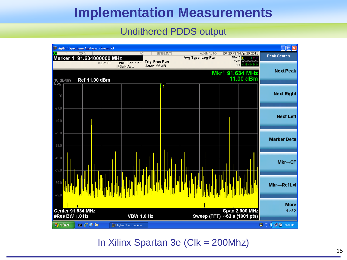### **Implementation Measurements**

#### Undithered PDDS output

| DI Agilent Spectrum Analyzer - Swept SA                                                                                                                                                                                                                                                                                                                                      |                                                                                       |            |                                 |                                                                              | $\square$ ex                                                      |
|------------------------------------------------------------------------------------------------------------------------------------------------------------------------------------------------------------------------------------------------------------------------------------------------------------------------------------------------------------------------------|---------------------------------------------------------------------------------------|------------|---------------------------------|------------------------------------------------------------------------------|-------------------------------------------------------------------|
| $50\Omega$<br><b>LXI</b><br>T<br>91.634000000 MHz<br>Marker 1                                                                                                                                                                                                                                                                                                                | AC                                                                                    | SENSE: INT | ALIGN AUTO<br>Avg Type: Log-Pwr | 07:20:43 AM Apr 20, 2011<br>TRACE 123456                                     | <b>Peak Search</b>                                                |
| Input: RF<br>Ref 11.00 dBm<br>10 dB/div                                                                                                                                                                                                                                                                                                                                      | <b>Trig: Free Run</b><br>$PNO: Far \rightarrow$<br>Atten: 22 dB<br><b>IFGain:Auto</b> |            |                                 | <b>TYPE WWWWWW</b><br><b>DET N N N N N N</b><br>Mkr1 91.634 MHz<br>11.00 dBm | <b>Next Peak</b>                                                  |
| Log<br>1.00                                                                                                                                                                                                                                                                                                                                                                  |                                                                                       |            |                                 |                                                                              | <b>Next Right</b>                                                 |
| $-9.00$<br>$-19.0$                                                                                                                                                                                                                                                                                                                                                           |                                                                                       |            |                                 |                                                                              | <b>Next Left</b>                                                  |
| $-29.0$<br>$-39.0$                                                                                                                                                                                                                                                                                                                                                           |                                                                                       |            |                                 |                                                                              | <b>Marker Delta</b>                                               |
| $-49.0$<br>$-59.0$                                                                                                                                                                                                                                                                                                                                                           |                                                                                       |            |                                 |                                                                              | $Mkr \rightarrow CF$                                              |
| $-69.0$<br>$-79.0$                                                                                                                                                                                                                                                                                                                                                           |                                                                                       |            |                                 |                                                                              | Mkr→RefLvl                                                        |
| Center 91.634 MHz<br>#Res BW 1.0 Hz                                                                                                                                                                                                                                                                                                                                          | <b>VBW 1.0 Hz</b>                                                                     |            | Sweep (FFT) ~62 s (1001 pts)    | <b>Span 2.000 MHz</b>                                                        | <b>More</b><br>$1$ of $2$                                         |
| $\begin{picture}(20,20) \put(0,0){\line(1,0){10}} \put(15,0){\line(1,0){10}} \put(15,0){\line(1,0){10}} \put(15,0){\line(1,0){10}} \put(15,0){\line(1,0){10}} \put(15,0){\line(1,0){10}} \put(15,0){\line(1,0){10}} \put(15,0){\line(1,0){10}} \put(15,0){\line(1,0){10}} \put(15,0){\line(1,0){10}} \put(15,0){\line(1,0){10}} \put(15,0){\line(1$<br><b><i>H</i></b> start | J.J. Agilent Spectrum Ana                                                             |            |                                 |                                                                              | $\frac{1}{\epsilon}$<br>$\bigodot$ $\Box$ (a) 7:20 AM<br><b>B</b> |

#### In Xilinx Spartan 3e (Clk = 200Mhz)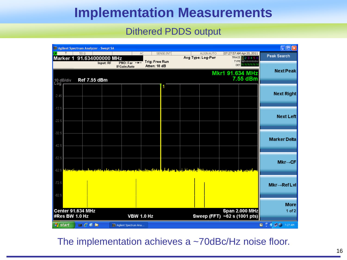### **Implementation Measurements**

#### Dithered PDDS output

| $\square$ ex<br>Agilent Spectrum Analyzer - Swept SA |                                                                                                                                                                                                                                                                                                                                                     |                                                           |                                       |                                 |                                                                                  |                                                                                                                                                                                                                                                                                                                                    |
|------------------------------------------------------|-----------------------------------------------------------------------------------------------------------------------------------------------------------------------------------------------------------------------------------------------------------------------------------------------------------------------------------------------------|-----------------------------------------------------------|---------------------------------------|---------------------------------|----------------------------------------------------------------------------------|------------------------------------------------------------------------------------------------------------------------------------------------------------------------------------------------------------------------------------------------------------------------------------------------------------------------------------|
| IΣΙ<br>Marker 1                                      | $50\Omega$<br>91.634000000 MHz                                                                                                                                                                                                                                                                                                                      | AC                                                        | SENSE: INT                            | ALIGN AUTO<br>Avg Type: Log-Pwr | 07:27:57 AM Apr 20, 2011<br>TRACE 123456                                         | <b>Peak Search</b>                                                                                                                                                                                                                                                                                                                 |
|                                                      |                                                                                                                                                                                                                                                                                                                                                     | Input: RF<br>$PMO: Far \rightarrow$<br><b>IFGain:Auto</b> | <b>Trig: Free Run</b><br>Atten: 18 dB |                                 | <b>TYPE WWWWWW</b><br>DET N N N N N N                                            | <b>Next Peak</b>                                                                                                                                                                                                                                                                                                                   |
| 10 dB/div<br>Log                                     | <b>Ref 7.55 dBm</b>                                                                                                                                                                                                                                                                                                                                 |                                                           |                                       |                                 | Mkr1 91.634 MHz<br>7.55 dBm                                                      |                                                                                                                                                                                                                                                                                                                                    |
| $-2.45$                                              |                                                                                                                                                                                                                                                                                                                                                     |                                                           | п                                     |                                 |                                                                                  | <b>Next Right</b>                                                                                                                                                                                                                                                                                                                  |
|                                                      |                                                                                                                                                                                                                                                                                                                                                     |                                                           |                                       |                                 |                                                                                  |                                                                                                                                                                                                                                                                                                                                    |
| $-12.5$                                              |                                                                                                                                                                                                                                                                                                                                                     |                                                           |                                       |                                 |                                                                                  | <b>Next Left</b>                                                                                                                                                                                                                                                                                                                   |
| $-22.5$                                              |                                                                                                                                                                                                                                                                                                                                                     |                                                           |                                       |                                 |                                                                                  |                                                                                                                                                                                                                                                                                                                                    |
| $-32.5$                                              |                                                                                                                                                                                                                                                                                                                                                     |                                                           |                                       |                                 |                                                                                  | <b>Marker Delta</b>                                                                                                                                                                                                                                                                                                                |
| $-42.5$                                              |                                                                                                                                                                                                                                                                                                                                                     |                                                           |                                       |                                 |                                                                                  |                                                                                                                                                                                                                                                                                                                                    |
| $-52.5$                                              |                                                                                                                                                                                                                                                                                                                                                     |                                                           |                                       |                                 |                                                                                  | $Mkr \rightarrow CF$                                                                                                                                                                                                                                                                                                               |
| $-62.5$                                              |                                                                                                                                                                                                                                                                                                                                                     |                                                           |                                       |                                 | و <sup>اور</sup> از در روم تولید از تمام از ماه می این را با آن <mark>ا</mark> ل |                                                                                                                                                                                                                                                                                                                                    |
| $-72.5$                                              |                                                                                                                                                                                                                                                                                                                                                     |                                                           |                                       |                                 |                                                                                  | Mkr→RefLvl                                                                                                                                                                                                                                                                                                                         |
| $-82.5$                                              |                                                                                                                                                                                                                                                                                                                                                     |                                                           |                                       |                                 |                                                                                  |                                                                                                                                                                                                                                                                                                                                    |
|                                                      |                                                                                                                                                                                                                                                                                                                                                     |                                                           |                                       |                                 |                                                                                  | <b>More</b>                                                                                                                                                                                                                                                                                                                        |
|                                                      | Center 91.634 MHz<br>#Res BW 1.0 Hz                                                                                                                                                                                                                                                                                                                 | <b>VBW 1.0 Hz</b>                                         |                                       |                                 | Span 2.000 MHz<br>Sweep (FFT) ~62 s (1001 pts)                                   | $1$ of $2$                                                                                                                                                                                                                                                                                                                         |
| <b>H</b> start                                       | $\begin{picture}(20,20) \put(0,0){\line(1,0){10}} \put(15,0){\line(1,0){10}} \put(15,0){\line(1,0){10}} \put(15,0){\line(1,0){10}} \put(15,0){\line(1,0){10}} \put(15,0){\line(1,0){10}} \put(15,0){\line(1,0){10}} \put(15,0){\line(1,0){10}} \put(15,0){\line(1,0){10}} \put(15,0){\line(1,0){10}} \put(15,0){\line(1,0){10}} \put(15,0){\line(1$ | <b>DDI Agilent Spectrum Ana</b>                           |                                       |                                 |                                                                                  | $\mathbf{Q}$ $\mathbf{C}$ $\mathbf{C}$ $\mathbf{C}$ $\mathbf{C}$ $\mathbf{C}$ $\mathbf{C}$ $\mathbf{C}$ $\mathbf{C}$ $\mathbf{C}$ $\mathbf{C}$ $\mathbf{C}$ $\mathbf{C}$ $\mathbf{C}$ $\mathbf{C}$ $\mathbf{C}$ $\mathbf{C}$ $\mathbf{C}$ $\mathbf{C}$ $\mathbf{C}$ $\mathbf{C}$ $\mathbf{C}$ $\mathbf{C}$ $\mathbf{C}$ $\mathbf{$ |

#### The implementation achieves a ~70dBc/Hz noise floor.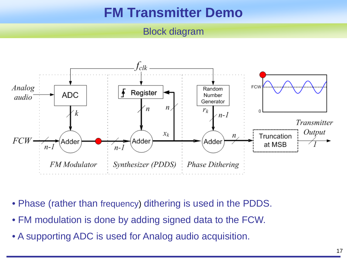## **FM Transmitter Demo**

#### Block diagram



- Phase (rather than frequency) dithering is used in the PDDS.
- FM modulation is done by adding signed data to the FCW.
- A supporting ADC is used for Analog audio acquisition.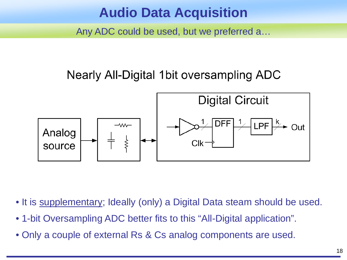### **Audio Data Acquisition**

Any ADC could be used, but we preferred a…

### Nearly All-Digital 1bit oversampling ADC



- It is supplementary; Ideally (only) a Digital Data steam should be used.
- 1-bit Oversampling ADC better fits to this "All-Digital application".
- Only a couple of external Rs & Cs analog components are used.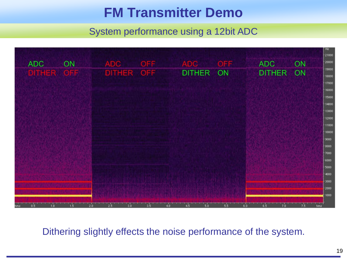## **FM Transmitter Demo**

#### System performance using a 12bit ADC



Dithering slightly effects the noise performance of the system.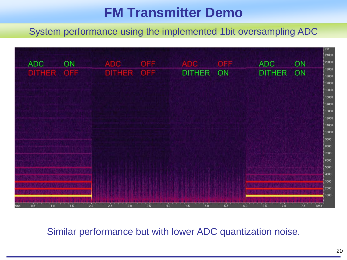## **FM Transmitter Demo**

System performance using the implemented 1bit oversampling ADC



Similar performance but with lower ADC quantization noise.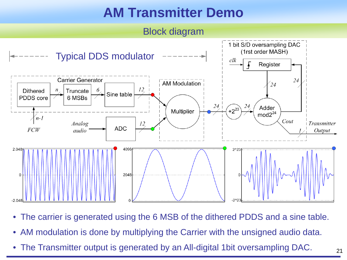## **AM Transmitter Demo**



- The carrier is generated using the 6 MSB of the dithered PDDS and a sine table.
- AM modulation is done by multiplying the Carrier with the unsigned audio data.
- The Transmitter output is generated by an All-digital 1bit oversampling DAC.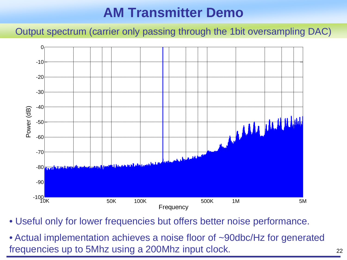## **AM Transmitter Demo**

Output spectrum (carrier only passing through the 1bit oversampling DAC)



• Useful only for lower frequencies but offers better noise performance.

• Actual implementation achieves a noise floor of ~90dbc/Hz for generated frequencies up to 5Mhz using a 200Mhz input clock.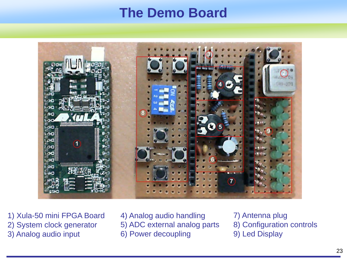### **The Demo Board**



1) Xula-50 mini FPGA Board

- 2) System clock generator
- 3) Analog audio input

4) Analog audio handling

- 5) ADC external analog parts
- 6) Power decoupling

7) Antenna plug 8) Configuration controls 9) Led Display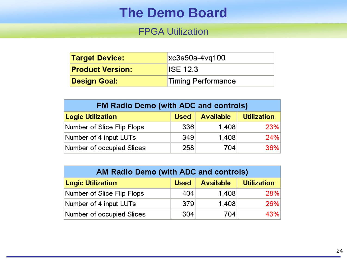### **The Demo Board**

#### FPGA Utilization

| <b>Target Device:</b>   | $xc3s50a-4vq100$   |  |
|-------------------------|--------------------|--|
| <b>Product Version:</b> | IISE 12.3          |  |
| Design Goal:            | Timing Performance |  |

| FM Radio Demo (with ADC and controls) |             |                  |                    |  |  |
|---------------------------------------|-------------|------------------|--------------------|--|--|
| <b>Logic Utilization</b>              | <b>Used</b> | <b>Available</b> | <b>Utilization</b> |  |  |
| Number of Slice Flip Flops            | 336         | 1,408            | 23%                |  |  |
| Number of 4 input LUTs                | 349         | 1,408            | 24%                |  |  |
| Number of occupied Slices             | 258         | 704              | 36%                |  |  |

| AM Radio Demo (with ADC and controls) |      |                  |                    |  |  |
|---------------------------------------|------|------------------|--------------------|--|--|
| <b>Logic Utilization</b>              | Used | <b>Available</b> | <b>Utilization</b> |  |  |
| Number of Slice Flip Flops            | 404  | 1,408            | 28%                |  |  |
| Number of 4 input LUTs                | 379  | 1,408            | 26%                |  |  |
| Number of occupied Slices             | 304  | 704              | 43%                |  |  |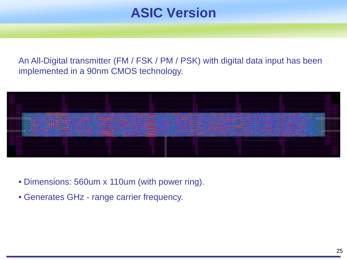### **ASIC Version**

An All-Digital transmitter (FM / FSK / PM / PSK) with digital data input has been implemented in a 90nm CMOS technology.



- Dimensions: 560um x 110um (with power ring).
- Generates GHz range carrier frequency.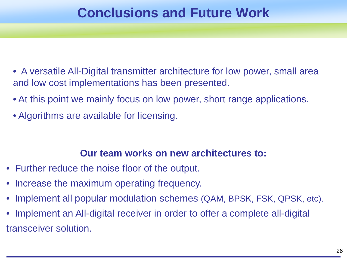### **Conclusions and Future Work**

- A versatile All-Digital transmitter architecture for low power, small area and low cost implementations has been presented.
- At this point we mainly focus on low power, short range applications.
- Algorithms are available for licensing.

#### **Our team works on new architectures to:**

- Further reduce the noise floor of the output.
- Increase the maximum operating frequency.
- Implement all popular modulation schemes (QAM, BPSK, FSK, QPSK, etc).
- Implement an All-digital receiver in order to offer a complete all-digital transceiver solution.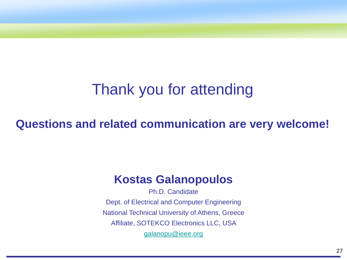# Thank you for attending

### **Questions and related communication are very welcome!**

### **Kostas Galanopoulos**

Ph.D. Candidate Dept. of Electrical and Computer Engineering National Technical University of Athens, Greece Affiliate, SOTEKCO Electronics LLC, USA [galanopu@ieee.org](mailto:galanopu@ieee.org)